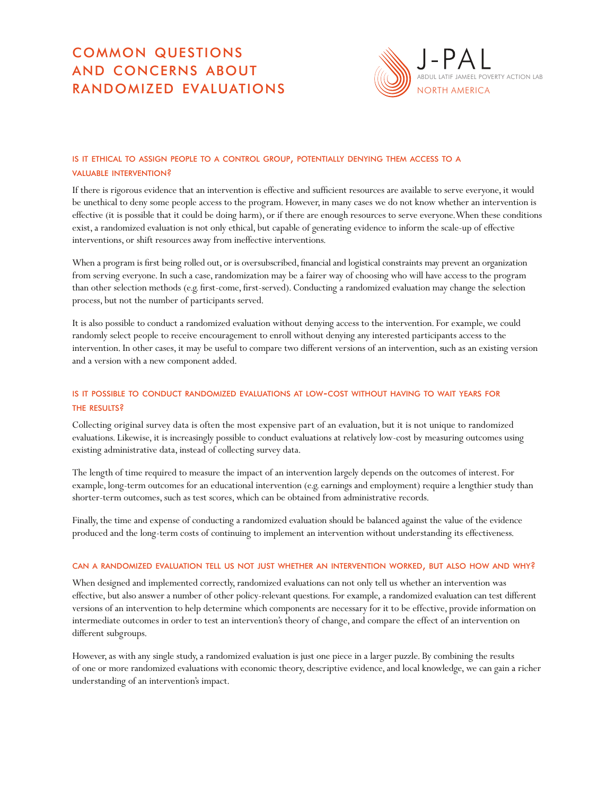# common questions and concerns about randomized evaluations



## IS IT ETHICAL TO ASSIGN PEOPLE TO A CONTROL GROUP, POTENTIALLY DENYING THEM ACCESS TO A valuable intervention?

If there is rigorous evidence that an intervention is effective and sufficient resources are available to serve everyone, it would be unethical to deny some people access to the program. However, in many cases we do not know whether an intervention is effective (it is possible that it could be doing harm), or if there are enough resources to serve everyone. When these conditions exist, a randomized evaluation is not only ethical, but capable of generating evidence to inform the scale-up of effective interventions, or shift resources away from ineffective interventions.

When a program is first being rolled out, or is oversubscribed, financial and logistical constraints may prevent an organization from serving everyone. In such a case, randomization may be a fairer way of choosing who will have access to the program than other selection methods (e.g. first-come, first-served). Conducting a randomized evaluation may change the selection process, but not the number of participants served.

It is also possible to conduct a randomized evaluation without denying access to the intervention. For example, we could randomly select people to receive encouragement to enroll without denying any interested participants access to the intervention. In other cases, it may be useful to compare two different versions of an intervention, such as an existing version and a version with a new component added.

## is it possible to conduct randomized evaluations at low-cost without having to wait years for the results?

Collecting original survey data is often the most expensive part of an evaluation, but it is not unique to randomized evaluations. Likewise, it is increasingly possible to conduct evaluations at relatively low-cost by measuring outcomes using existing administrative data, instead of collecting survey data.

The length of time required to measure the impact of an intervention largely depends on the outcomes of interest. For example, long-term outcomes for an educational intervention (e.g. earnings and employment) require a lengthier study than shorter-term outcomes, such as test scores, which can be obtained from administrative records.

Finally, the time and expense of conducting a randomized evaluation should be balanced against the value of the evidence produced and the long-term costs of continuing to implement an intervention without understanding its effectiveness.

#### can <sup>a</sup> randomized evaluation tell us not just whether an intervention worked, but also how and why?

When designed and implemented correctly, randomized evaluations can not only tell us whether an intervention was effective, but also answer a number of other policy-relevant questions. For example, a randomized evaluation can test different versions of an intervention to help determine which components are necessary for it to be effective, provide information on intermediate outcomes in order to test an intervention's theory of change, and compare the effect of an intervention on different subgroups.

However, as with any single study, a randomized evaluation is just one piece in a larger puzzle. By combining the results of one or more randomized evaluations with economic theory, descriptive evidence, and local knowledge, we can gain a richer understanding of an intervention's impact.